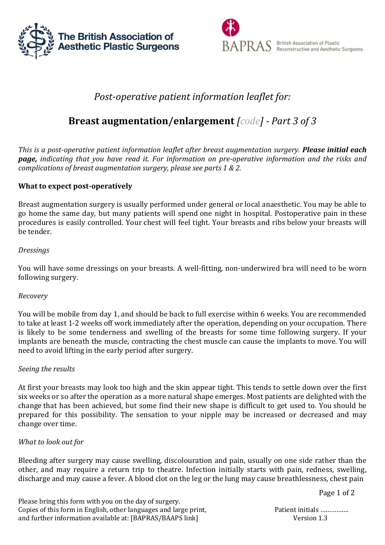



## *Post-operative patient information leaflet for:*

# **Breast augmentation/enlargement** *[code] - Part 3 of 3*

*This is a post-operative patient information leaflet after breast augmentation surgery. Please initial each page, indicating that you have read it. For information on pre-operative information and the risks and complications of breast augmentation surgery, please see parts 1 & 2.*

### **What to expect post-operatively**

Breast augmentation surgery is usually performed under general or local anaesthetic. You may be able to go home the same day, but many patients will spend one night in hospital. Postoperative pain in these procedures is easily controlled. Your chest will feel tight. Your breasts and ribs below your breasts will be tender.

#### *Dressings*

You will have some dressings on your breasts. A well-fitting, non-underwired bra will need to be worn following surgery.

#### *Recovery*

You will be mobile from day 1, and should be back to full exercise within 6 weeks. You are recommended to take at least 1-2 weeks off work immediately after the operation, depending on your occupation. There is likely to be some tenderness and swelling of the breasts for some time following surgery. If your implants are beneath the muscle, contracting the chest muscle can cause the implants to move. You will need to avoid lifting in the early period after surgery.

#### *Seeing the results*

At first your breasts may look too high and the skin appear tight. This tends to settle down over the first six weeks or so after the operation as a more natural shape emerges. Most patients are delighted with the change that has been achieved, but some find their new shape is difficult to get used to. You should be prepared for this possibility. The sensation to your nipple may be increased or decreased and may change over time.

#### *What to look out for*

Bleeding after surgery may cause swelling, discolouration and pain, usually on one side rather than the other, and may require a return trip to theatre. Infection initially starts with pain, redness, swelling, discharge and may cause a fever. A blood clot on the leg or the lung may cause breathlessness, chest pain

Please bring this form with you on the day of surgery. Copies of this form in English, other languages and large print, Patient initials ……………. and further information available at: [BAPRAS/BAAPS link] Version 1.3

Page 1 of 2